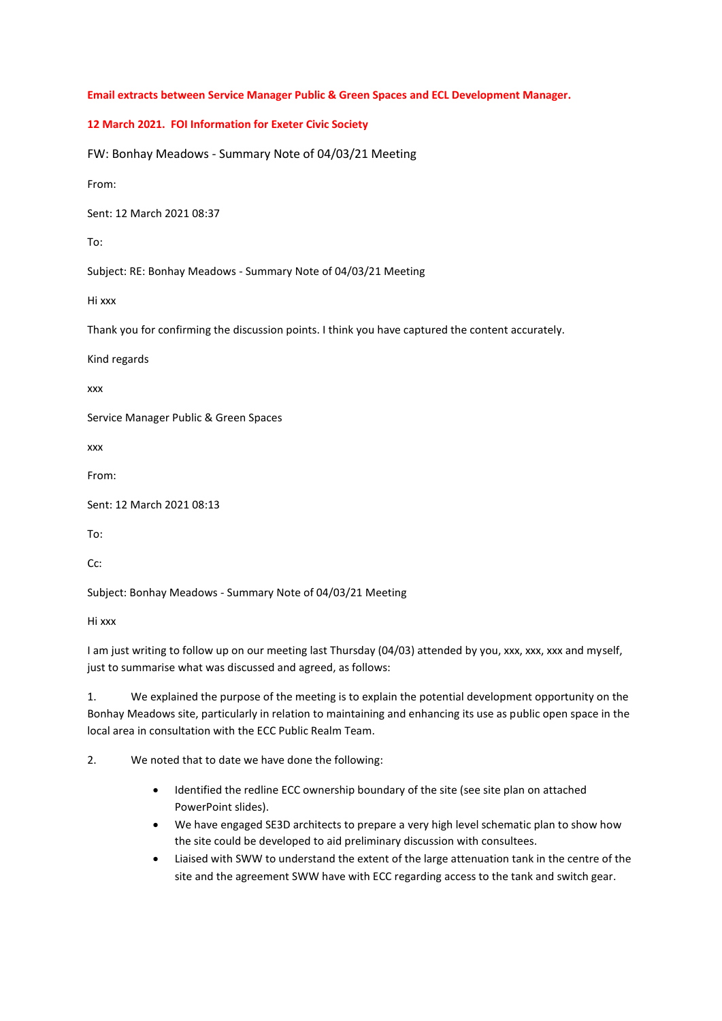**Email extracts between Service Manager Public & Green Spaces and ECL Development Manager.** 

## **12 March 2021. FOI Information for Exeter Civic Society**

FW: Bonhay Meadows - Summary Note of 04/03/21 Meeting

From:

Sent: 12 March 2021 08:37

To:

Subject: RE: Bonhay Meadows - Summary Note of 04/03/21 Meeting

Hi xxx

Thank you for confirming the discussion points. I think you have captured the content accurately.

Kind regards

xxx

Service Manager Public & Green Spaces

xxx

From:

Sent: 12 March 2021 08:13

To:

 $Cr$ 

Subject: Bonhay Meadows - Summary Note of 04/03/21 Meeting

Hi xxx

I am just writing to follow up on our meeting last Thursday (04/03) attended by you, xxx, xxx, xxx and myself, just to summarise what was discussed and agreed, as follows:

1. We explained the purpose of the meeting is to explain the potential development opportunity on the Bonhay Meadows site, particularly in relation to maintaining and enhancing its use as public open space in the local area in consultation with the ECC Public Realm Team.

2. We noted that to date we have done the following:

- Identified the redline ECC ownership boundary of the site (see site plan on attached PowerPoint slides).
- We have engaged SE3D architects to prepare a very high level schematic plan to show how the site could be developed to aid preliminary discussion with consultees.
- Liaised with SWW to understand the extent of the large attenuation tank in the centre of the site and the agreement SWW have with ECC regarding access to the tank and switch gear.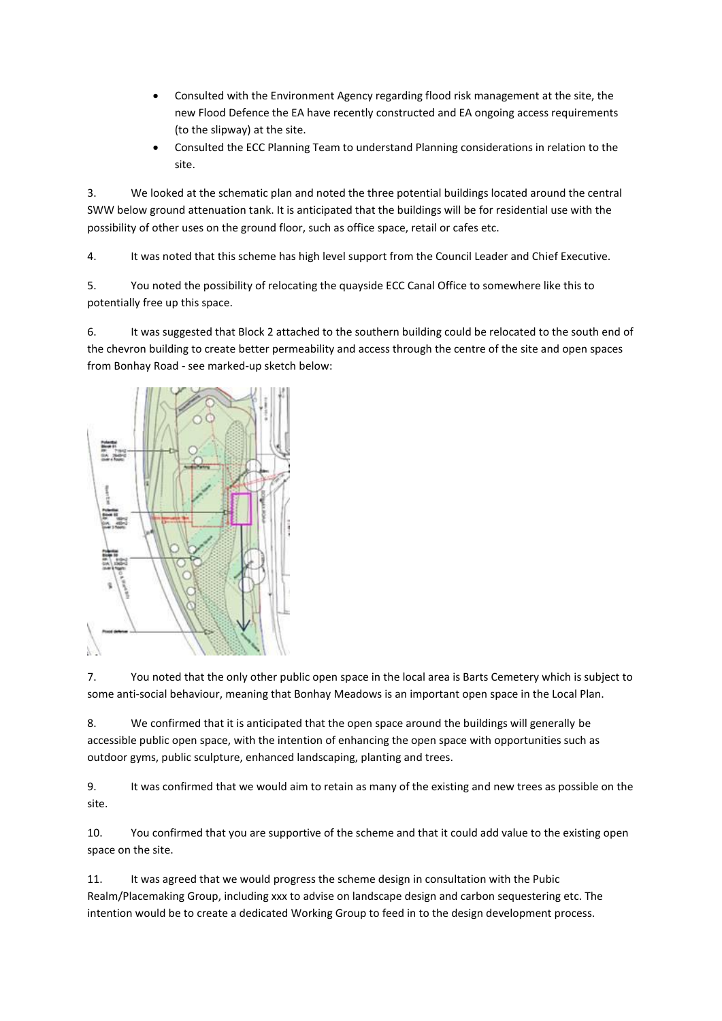- Consulted with the Environment Agency regarding flood risk management at the site, the new Flood Defence the EA have recently constructed and EA ongoing access requirements (to the slipway) at the site.
- Consulted the ECC Planning Team to understand Planning considerations in relation to the site.

3. We looked at the schematic plan and noted the three potential buildings located around the central SWW below ground attenuation tank. It is anticipated that the buildings will be for residential use with the possibility of other uses on the ground floor, such as office space, retail or cafes etc.

4. It was noted that this scheme has high level support from the Council Leader and Chief Executive.

5. You noted the possibility of relocating the quayside ECC Canal Office to somewhere like this to potentially free up this space.

6. It was suggested that Block 2 attached to the southern building could be relocated to the south end of the chevron building to create better permeability and access through the centre of the site and open spaces from Bonhay Road - see marked-up sketch below:



7. You noted that the only other public open space in the local area is Barts Cemetery which is subject to some anti-social behaviour, meaning that Bonhay Meadows is an important open space in the Local Plan.

8. We confirmed that it is anticipated that the open space around the buildings will generally be accessible public open space, with the intention of enhancing the open space with opportunities such as outdoor gyms, public sculpture, enhanced landscaping, planting and trees.

9. It was confirmed that we would aim to retain as many of the existing and new trees as possible on the site.

10. You confirmed that you are supportive of the scheme and that it could add value to the existing open space on the site.

11. It was agreed that we would progress the scheme design in consultation with the Pubic Realm/Placemaking Group, including xxx to advise on landscape design and carbon sequestering etc. The intention would be to create a dedicated Working Group to feed in to the design development process.